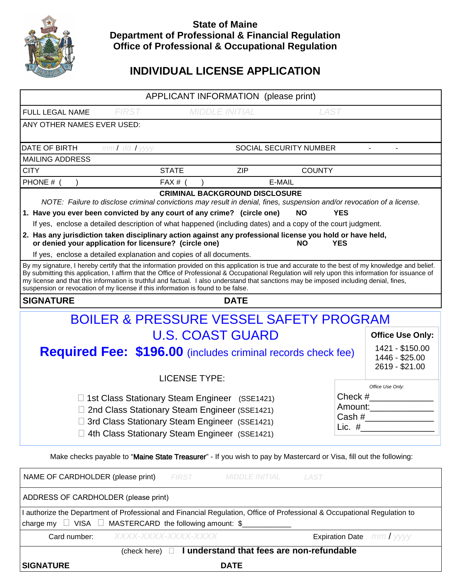

## **State of Maine Department of Professional & Financial Regulation Office of Professional & Occupational Regulation**

# **INDIVIDUAL LICENSE APPLICATION**

| APPLICANT INFORMATION (please print)                                                                                                                                                                                                                                                                                                                                                                                                                                                                                                 |                                                                                                                                                                                                                                          |                                      |                        |                                                     |                                |  |  |
|--------------------------------------------------------------------------------------------------------------------------------------------------------------------------------------------------------------------------------------------------------------------------------------------------------------------------------------------------------------------------------------------------------------------------------------------------------------------------------------------------------------------------------------|------------------------------------------------------------------------------------------------------------------------------------------------------------------------------------------------------------------------------------------|--------------------------------------|------------------------|-----------------------------------------------------|--------------------------------|--|--|
| FULL LEGAL NAME                                                                                                                                                                                                                                                                                                                                                                                                                                                                                                                      | <b>FIRST</b>                                                                                                                                                                                                                             | <b>MIDDLE INITIAL</b><br><b>LAST</b> |                        |                                                     |                                |  |  |
| ANY OTHER NAMES EVER USED:                                                                                                                                                                                                                                                                                                                                                                                                                                                                                                           |                                                                                                                                                                                                                                          |                                      |                        |                                                     |                                |  |  |
| DATE OF BIRTH                                                                                                                                                                                                                                                                                                                                                                                                                                                                                                                        | $mmI$ dd $I$ yyyy                                                                                                                                                                                                                        |                                      | SOCIAL SECURITY NUMBER |                                                     |                                |  |  |
| <b>MAILING ADDRESS</b>                                                                                                                                                                                                                                                                                                                                                                                                                                                                                                               |                                                                                                                                                                                                                                          |                                      |                        |                                                     |                                |  |  |
| <b>CITY</b>                                                                                                                                                                                                                                                                                                                                                                                                                                                                                                                          | <b>STATE</b>                                                                                                                                                                                                                             | <b>ZIP</b>                           |                        | <b>COUNTY</b>                                       |                                |  |  |
| PHONE #                                                                                                                                                                                                                                                                                                                                                                                                                                                                                                                              | FAX # $($                                                                                                                                                                                                                                |                                      | E-MAIL                 |                                                     |                                |  |  |
| <b>CRIMINAL BACKGROUND DISCLOSURE</b><br>NOTE: Failure to disclose criminal convictions may result in denial, fines, suspension and/or revocation of a license.                                                                                                                                                                                                                                                                                                                                                                      |                                                                                                                                                                                                                                          |                                      |                        |                                                     |                                |  |  |
| 1. Have you ever been convicted by any court of any crime? (circle one)<br><b>NO</b><br><b>YES</b>                                                                                                                                                                                                                                                                                                                                                                                                                                   |                                                                                                                                                                                                                                          |                                      |                        |                                                     |                                |  |  |
| If yes, enclose a detailed description of what happened (including dates) and a copy of the court judgment.                                                                                                                                                                                                                                                                                                                                                                                                                          |                                                                                                                                                                                                                                          |                                      |                        |                                                     |                                |  |  |
| 2. Has any jurisdiction taken disciplinary action against any professional license you hold or have held,<br>or denied your application for licensure? (circle one)<br><b>NO</b><br><b>YES</b>                                                                                                                                                                                                                                                                                                                                       |                                                                                                                                                                                                                                          |                                      |                        |                                                     |                                |  |  |
|                                                                                                                                                                                                                                                                                                                                                                                                                                                                                                                                      | If yes, enclose a detailed explanation and copies of all documents.                                                                                                                                                                      |                                      |                        |                                                     |                                |  |  |
| By my signature, I hereby certify that the information provided on this application is true and accurate to the best of my knowledge and belief.<br>By submitting this application, I affirm that the Office of Professional & Occupational Regulation will rely upon this information for issuance of<br>my license and that this information is truthful and factual. I also understand that sanctions may be imposed including denial, fines,<br>suspension or revocation of my license if this information is found to be false. |                                                                                                                                                                                                                                          |                                      |                        |                                                     |                                |  |  |
| <b>SIGNATURE</b>                                                                                                                                                                                                                                                                                                                                                                                                                                                                                                                     |                                                                                                                                                                                                                                          | <b>DATE</b>                          |                        |                                                     |                                |  |  |
| BOILER & PRESSURE VESSEL SAFETY PROGRAM                                                                                                                                                                                                                                                                                                                                                                                                                                                                                              |                                                                                                                                                                                                                                          |                                      |                        |                                                     |                                |  |  |
| <b>U.S. COAST GUARD</b>                                                                                                                                                                                                                                                                                                                                                                                                                                                                                                              |                                                                                                                                                                                                                                          |                                      |                        | <b>Office Use Only:</b>                             |                                |  |  |
| <b>Required Fee: \$196.00</b> (includes criminal records check fee)                                                                                                                                                                                                                                                                                                                                                                                                                                                                  |                                                                                                                                                                                                                                          |                                      |                        | 1421 - \$150.00<br>1446 - \$25.00<br>2619 - \$21.00 |                                |  |  |
|                                                                                                                                                                                                                                                                                                                                                                                                                                                                                                                                      |                                                                                                                                                                                                                                          | <b>LICENSE TYPE:</b>                 |                        |                                                     |                                |  |  |
|                                                                                                                                                                                                                                                                                                                                                                                                                                                                                                                                      | Check $#$<br>□ 1st Class Stationary Steam Engineer (SSE1421)<br>Amount:<br>□ 2nd Class Stationary Steam Engineer (SSE1421)<br>3rd Class Stationary Steam Engineer (SSE1421)<br>Lic. $#$<br>4th Class Stationary Steam Engineer (SSE1421) |                                      |                        | Office Use Only:                                    |                                |  |  |
| Make checks payable to "Maine State Treasurer" - If you wish to pay by Mastercard or Visa, fill out the following:                                                                                                                                                                                                                                                                                                                                                                                                                   |                                                                                                                                                                                                                                          |                                      |                        |                                                     |                                |  |  |
| NAME OF CARDHOLDER (please print)<br><b>MIDDLE INITIAL</b><br><b>FIRST</b><br><b>LAST</b>                                                                                                                                                                                                                                                                                                                                                                                                                                            |                                                                                                                                                                                                                                          |                                      |                        |                                                     |                                |  |  |
| ADDRESS OF CARDHOLDER (please print)                                                                                                                                                                                                                                                                                                                                                                                                                                                                                                 |                                                                                                                                                                                                                                          |                                      |                        |                                                     |                                |  |  |
| I authorize the Department of Professional and Financial Regulation, Office of Professional & Occupational Regulation to<br>MASTERCARD the following amount: \$<br>charge my $\Box$ VISA $\Box$                                                                                                                                                                                                                                                                                                                                      |                                                                                                                                                                                                                                          |                                      |                        |                                                     |                                |  |  |
| Card number:                                                                                                                                                                                                                                                                                                                                                                                                                                                                                                                         |                                                                                                                                                                                                                                          |                                      |                        |                                                     | <b>Expiration Date</b> mm/yyyy |  |  |
| I understand that fees are non-refundable<br>(check here) $\Box$                                                                                                                                                                                                                                                                                                                                                                                                                                                                     |                                                                                                                                                                                                                                          |                                      |                        |                                                     |                                |  |  |
| <b>SIGNATURE</b>                                                                                                                                                                                                                                                                                                                                                                                                                                                                                                                     |                                                                                                                                                                                                                                          | <b>DATE</b>                          |                        |                                                     |                                |  |  |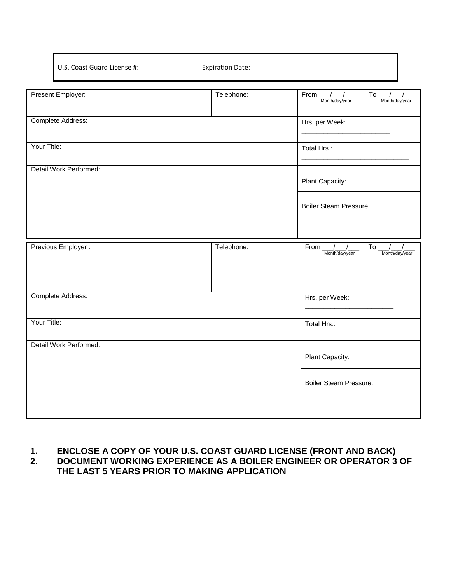U.S. Coast Guard License #: Expiration Date:

| Present Employer:      | Telephone:      | From $\frac{1}{\sqrt{2}}$<br>$\overline{To}$ $\frac{1}{\sqrt{1-\frac{1}{2}}\sqrt{1-\frac{1}{2}}\sqrt{1-\frac{1}{2}}\sqrt{1-\frac{1}{2}}\sqrt{1-\frac{1}{2}}\sqrt{1-\frac{1}{2}}\sqrt{1-\frac{1}{2}}\sqrt{1-\frac{1}{2}}\sqrt{1-\frac{1}{2}}\sqrt{1-\frac{1}{2}}\sqrt{1-\frac{1}{2}}\sqrt{1-\frac{1}{2}}\sqrt{1-\frac{1}{2}}\sqrt{1-\frac{1}{2}}\sqrt{1-\frac{1}{2}}\sqrt{1-\frac{1}{2}}\sqrt{1-\frac{1}{2}}\sqrt{1-\frac{1}{2}}\sqrt{1-\frac{1$<br>Month/day/year |  |
|------------------------|-----------------|-------------------------------------------------------------------------------------------------------------------------------------------------------------------------------------------------------------------------------------------------------------------------------------------------------------------------------------------------------------------------------------------------------------------------------------------------------------------|--|
| Complete Address:      |                 | Hrs. per Week:                                                                                                                                                                                                                                                                                                                                                                                                                                                    |  |
| Your Title:            |                 | Total Hrs.:                                                                                                                                                                                                                                                                                                                                                                                                                                                       |  |
| Detail Work Performed: |                 |                                                                                                                                                                                                                                                                                                                                                                                                                                                                   |  |
|                        | Plant Capacity: |                                                                                                                                                                                                                                                                                                                                                                                                                                                                   |  |
|                        |                 | <b>Boiler Steam Pressure:</b>                                                                                                                                                                                                                                                                                                                                                                                                                                     |  |
|                        |                 |                                                                                                                                                                                                                                                                                                                                                                                                                                                                   |  |
| Previous Employer :    | Telephone:      | From $\frac{1}{2}$<br>To $\frac{1}{\sqrt{2}}$<br>Month/day/year<br>Month/day/year                                                                                                                                                                                                                                                                                                                                                                                 |  |
|                        |                 |                                                                                                                                                                                                                                                                                                                                                                                                                                                                   |  |
| Complete Address:      |                 | Hrs. per Week:                                                                                                                                                                                                                                                                                                                                                                                                                                                    |  |
| Your Title:            | Total Hrs.:     |                                                                                                                                                                                                                                                                                                                                                                                                                                                                   |  |
| Detail Work Performed: |                 |                                                                                                                                                                                                                                                                                                                                                                                                                                                                   |  |
|                        | Plant Capacity: |                                                                                                                                                                                                                                                                                                                                                                                                                                                                   |  |
|                        |                 | <b>Boiler Steam Pressure:</b>                                                                                                                                                                                                                                                                                                                                                                                                                                     |  |
|                        |                 |                                                                                                                                                                                                                                                                                                                                                                                                                                                                   |  |

# **1. ENCLOSE A COPY OF YOUR U.S. COAST GUARD LICENSE (FRONT AND BACK)**

**2. DOCUMENT WORKING EXPERIENCE AS A BOILER ENGINEER OR OPERATOR 3 OF THE LAST 5 YEARS PRIOR TO MAKING APPLICATION**